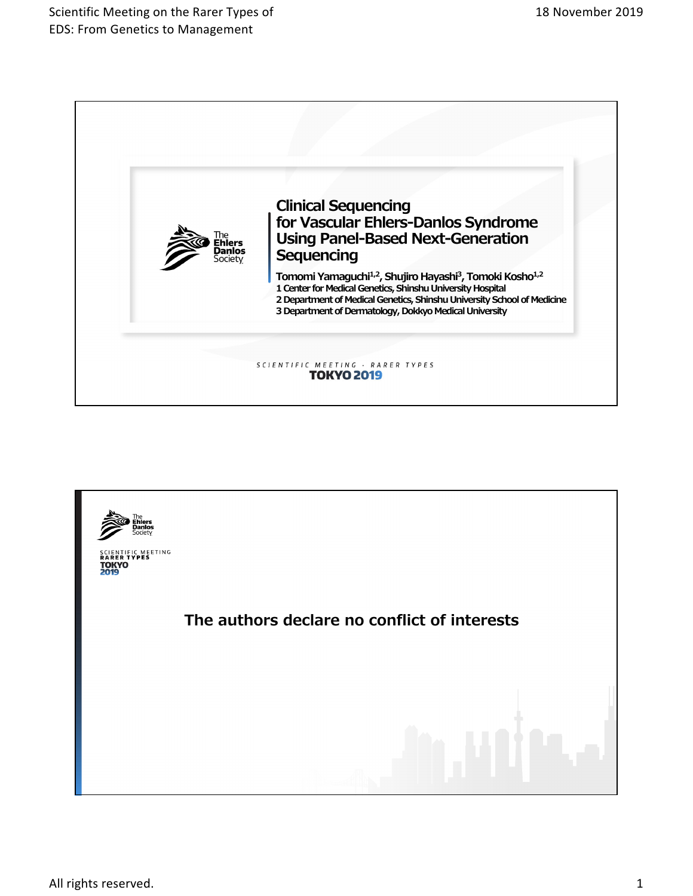

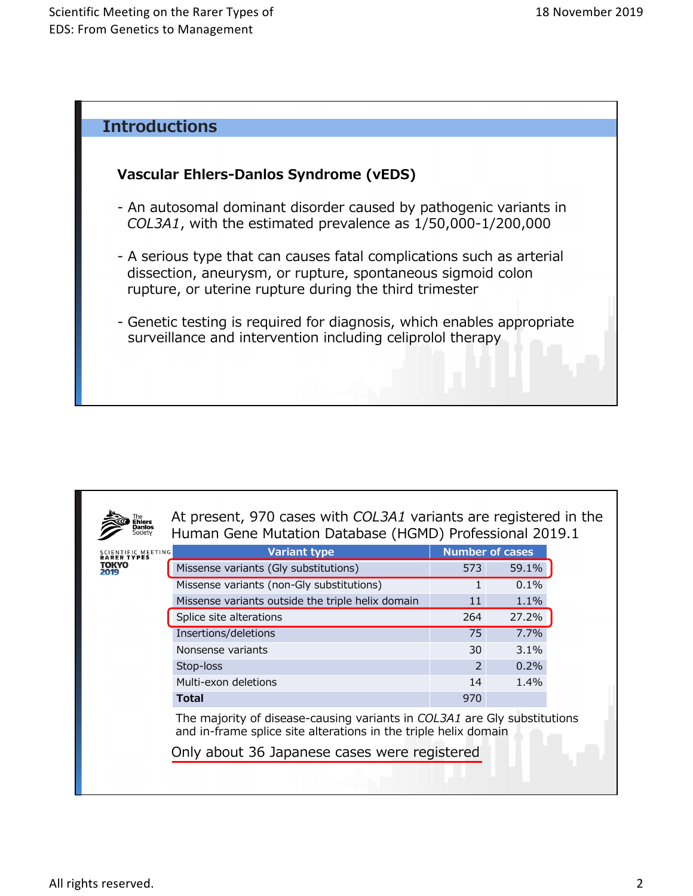

| NTIFIC MEETING<br><b>R TVPES</b> | <b>Variant type</b>                                                                                                                         |               | <b>Number of cases</b> |  |  |  |  |  |  |
|----------------------------------|---------------------------------------------------------------------------------------------------------------------------------------------|---------------|------------------------|--|--|--|--|--|--|
| rokyo                            | Missense variants (Gly substitutions)                                                                                                       | 573           | 59.1%                  |  |  |  |  |  |  |
|                                  | Missense variants (non-Gly substitutions)                                                                                                   |               | $0.1\%$                |  |  |  |  |  |  |
|                                  | Missense variants outside the triple helix domain                                                                                           | 11            | 1.1%                   |  |  |  |  |  |  |
|                                  | Splice site alterations                                                                                                                     | 264           | 27.2%                  |  |  |  |  |  |  |
|                                  | Insertions/deletions                                                                                                                        | 75            | 7.7%                   |  |  |  |  |  |  |
|                                  | Nonsense variants                                                                                                                           | 30            | 3.1%                   |  |  |  |  |  |  |
|                                  | Stop-loss                                                                                                                                   | $\mathcal{P}$ | 0.2%                   |  |  |  |  |  |  |
|                                  | Multi-exon deletions                                                                                                                        | 14            | 1.4%                   |  |  |  |  |  |  |
|                                  | <b>Total</b>                                                                                                                                | 970           |                        |  |  |  |  |  |  |
|                                  | The majority of disease-causing variants in COL3A1 are Gly substitutions<br>and in-frame splice site alterations in the triple helix domain |               |                        |  |  |  |  |  |  |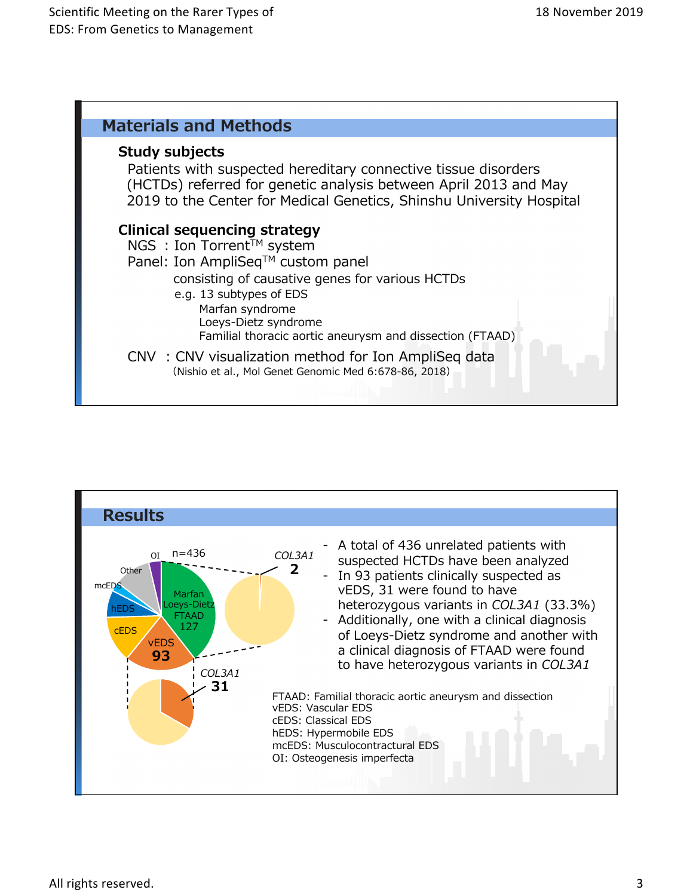

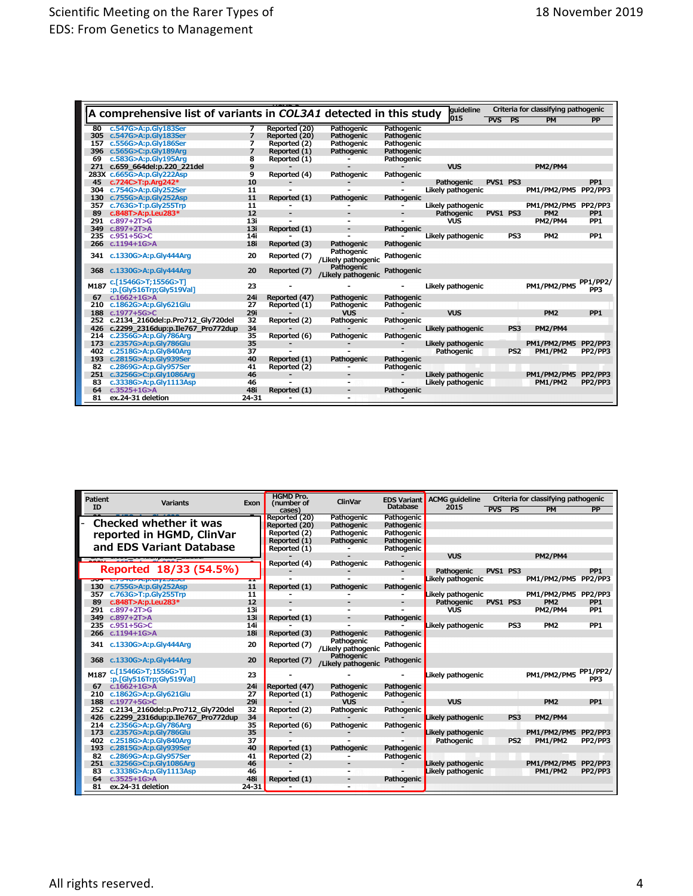| A comprehensive list of variants in COL3A1 detected in this study |                                                 |           |                          |                                  |            | quideline         | Criteria for classifying pathogenic |                 |                     |                                    |
|-------------------------------------------------------------------|-------------------------------------------------|-----------|--------------------------|----------------------------------|------------|-------------------|-------------------------------------|-----------------|---------------------|------------------------------------|
|                                                                   |                                                 |           |                          |                                  |            | 015               | <b>PVS</b>                          | PS              | <b>PM</b>           | PP                                 |
| 80                                                                | c.547G>A:p.Gly183Ser                            |           | Reported (20)            | Pathogenic                       | Pathogenic |                   |                                     |                 |                     |                                    |
|                                                                   | 305 c.547G>A:p.Gly183Ser                        | 7         | Reported (20)            | Pathogenic                       | Pathogenic |                   |                                     |                 |                     |                                    |
| 157                                                               | c.556G>A:p.Gly186Ser                            | 7         | Reported (2)             | Pathogenic                       | Pathogenic |                   |                                     |                 |                     |                                    |
|                                                                   | 396 c.565G>C:p.Gly189Arg                        | 7         | Reported (1)             | Pathogenic                       | Pathogenic |                   |                                     |                 |                     |                                    |
| 69                                                                | c.583G>A:p.Gly195Arq                            | 8         | Reported (1)             |                                  | Pathogenic |                   |                                     |                 |                     |                                    |
|                                                                   | 271 c.659 664del:p.220 221del                   | 9         |                          |                                  |            | <b>VUS</b>        |                                     |                 | PM2/PM4             |                                    |
|                                                                   | 283X c.665G>A:p.Gly222Asp                       | 9         | Reported (4)             | Pathogenic                       | Pathogenic |                   |                                     |                 |                     |                                    |
| 45                                                                | c.724C>T:p.Arg242*                              | 10        |                          |                                  |            | Pathogenic        | PVS1 PS3                            |                 |                     | PP <sub>1</sub>                    |
|                                                                   | 304 c.754G>A:p.Gly252Ser                        | 11        |                          |                                  |            | Likely pathogenic |                                     |                 | PM1/PM2/PM5 PP2/PP3 |                                    |
|                                                                   | 130 c.755G>A:p.Gly252Asp                        | 11        | Reported (1)             | Pathogenic                       | Pathogenic |                   |                                     |                 |                     |                                    |
| 357                                                               | c.763G>T:p.Gly255Trp                            | 11        |                          |                                  |            | Likely pathogenic |                                     |                 | PM1/PM2/PM5 PP2/PP3 |                                    |
| 89                                                                | c.848T>A:p.Leu283*                              | 12        | ٠                        |                                  |            | Pathogenic        | PVS1 PS3                            |                 | PM <sub>2</sub>     | PP <sub>1</sub>                    |
| 291                                                               | $c.897 + 2T > G$                                | 13i       |                          |                                  |            | <b>VUS</b>        |                                     |                 | <b>PM2/PM4</b>      | PP <sub>1</sub>                    |
| 349                                                               | $c.897 + 2T > A$                                | 13i       | Reported (1)             |                                  | Pathogenic |                   |                                     |                 |                     |                                    |
| 235                                                               | $c.951 + 56 > C$                                | 14i       |                          |                                  |            | Likely pathogenic |                                     | PS3             | PM <sub>2</sub>     | PP <sub>1</sub>                    |
| 266                                                               | $c.1194 + 1G > A$                               | 18i       | Reported (3)             | Pathogenic                       | Pathogenic |                   |                                     |                 |                     |                                    |
|                                                                   | 341 c.1330G>A:p.Gly444Arq                       | 20        | Reported (7)             | Pathogenic<br>/Likely pathogenic | Pathogenic |                   |                                     |                 |                     |                                    |
| 368                                                               | c.1330G>A:p.Gly444Arq                           | 20        | Reported (7)             | Pathogenic<br>/Likely pathogenic | Pathogenic |                   |                                     |                 |                     |                                    |
| M187                                                              | c.[1546G>T;1556G>T]<br>:p.[Gly516Trp;Gly519Val] | 23        |                          |                                  |            | Likely pathogenic |                                     |                 | PM1/PM2/PM5         | <b>PP1/PP2/</b><br>PP <sub>3</sub> |
| 67                                                                | $c.1662+1G > A$                                 | 24i       | Reported (47)            | Pathogenic                       | Pathogenic |                   |                                     |                 |                     |                                    |
| 210                                                               | c.1862G>A:p.Gly621Glu                           | 27        | Reported (1)             | Pathogenic                       | Pathogenic |                   |                                     |                 |                     |                                    |
| 188                                                               | c.1977+5G>C                                     | 29i       |                          | <b>VUS</b>                       |            | <b>VUS</b>        |                                     |                 | PM <sub>2</sub>     | PP <sub>1</sub>                    |
| 252                                                               | c.2134 2160del:p.Pro712 Gly720del               | 32        | Reported (2)             | Pathogenic                       | Pathogenic |                   |                                     |                 |                     |                                    |
| 426                                                               | c.2299 2316dup:p.Ile767 Pro772dup               | 34        |                          |                                  |            | Likely pathogenic |                                     | PS3             | <b>PM2/PM4</b>      |                                    |
|                                                                   | 214 c.2356G>A:p.Gly786Arg                       | 35        | Reported (6)             | Pathogenic                       | Pathogenic |                   |                                     |                 |                     |                                    |
|                                                                   | 173 c.2357G>A:p.Gly786Glu                       | 35        |                          |                                  |            | Likely pathogenic |                                     |                 | PM1/PM2/PM5         | PP2/PP3                            |
|                                                                   | 402 c.2518G>A:p.Gly840Arg                       | 37        |                          |                                  |            | Pathogenic        |                                     | PS <sub>2</sub> | <b>PM1/PM2</b>      | PP2/PP3                            |
|                                                                   | 193 c.2815G>A:p.Gly939Ser                       | 40        | Reported (1)             | Pathogenic                       | Pathogenic |                   |                                     |                 |                     |                                    |
| 82                                                                | c.2869G>A:p.Gly957Ser                           | 41        | Reported (2)             |                                  | Pathogenic |                   |                                     |                 |                     |                                    |
|                                                                   | 251 c.3256G>C:p.Gly1086Arg                      | 46        | $\overline{\phantom{0}}$ |                                  |            | Likely pathogenic |                                     |                 | PM1/PM2/PM5         | PP2/PP3                            |
| 83                                                                | c.3338G>A:p.Gly1113Asp                          | 46        |                          |                                  |            | Likely pathogenic |                                     |                 | <b>PM1/PM2</b>      | PP2/PP3                            |
| 64                                                                | $c.3525 + 1G > A$                               | 48i       | Reported (1)             | $\overline{\phantom{a}}$         | Pathogenic |                   |                                     |                 |                     |                                    |
| 81                                                                | ex.24-31 deletion                               | $24 - 31$ |                          | $\overline{\phantom{0}}$         |            |                   |                                     |                 |                     |                                    |

| <b>Patient</b> | <b>Variants</b>                                 | Exon      | <b>HGMD Pro.</b><br>(number of | <b>ClinVar</b>                   | <b>EDS Variant</b> | Criteria for classifying pathogenic<br><b>ACMG</b> quideline |          |                 |                     |                                    |
|----------------|-------------------------------------------------|-----------|--------------------------------|----------------------------------|--------------------|--------------------------------------------------------------|----------|-----------------|---------------------|------------------------------------|
| ID             |                                                 |           | cases                          |                                  | <b>Database</b>    | 2015                                                         | PVS PS   |                 | <b>PM</b>           | <b>PP</b>                          |
|                |                                                 |           | Reported (20)                  | Pathogenic                       | Pathogenic         |                                                              |          |                 |                     |                                    |
|                | Checked whether it was                          |           | Reported (20)                  | Pathogenic                       | Pathogenic         |                                                              |          |                 |                     |                                    |
|                | reported in HGMD, ClinVar                       |           | Reported (2)                   | Pathogenic                       | Pathogenic         |                                                              |          |                 |                     |                                    |
|                | and EDS Variant Database                        |           | Reported (1)                   | Pathogenic                       | Pathogenic         |                                                              |          |                 |                     |                                    |
|                |                                                 |           | Reported (1)                   |                                  | Pathogenic         |                                                              |          |                 |                     |                                    |
|                |                                                 |           |                                |                                  |                    | <b>VUS</b>                                                   |          |                 | <b>PM2/PM4</b>      |                                    |
|                | Reported 18/33 (54.5%)                          |           | Reported (4)                   | Pathogenic                       | Pathogenic         |                                                              |          |                 |                     |                                    |
|                |                                                 |           |                                |                                  |                    | Pathogenic                                                   | PVS1 PS3 |                 |                     | PP <sub>1</sub>                    |
|                | <b>BUT G/BRUZATIAUWADZOCI</b>                   | ш         | Reported (1)                   |                                  |                    | Likely pathogenic                                            |          |                 | PM1/PM2/PM5 PP2/PP3 |                                    |
| 130<br>357     | c.755G>A:p.Gly252Asp<br>c.763G>T:p.Gly255Trp    | 11<br>11  |                                | Pathogenic                       | Pathogenic         | Likely pathogenic                                            |          |                 | PM1/PM2/PM5 PP2/PP3 |                                    |
| 89             | c.848T>A:p.Leu283*                              | 12        |                                |                                  |                    | Pathogenic                                                   | PVS1 PS3 |                 | PM <sub>2</sub>     | PP <sub>1</sub>                    |
| 291            | $c.897 + 2T > G$                                | 13i       |                                |                                  |                    | <b>VUS</b>                                                   |          |                 | <b>PM2/PM4</b>      | PP <sub>1</sub>                    |
| 349            | $c.897+2T > A$                                  | 13i       | Reported (1)                   |                                  | Pathogenic         |                                                              |          |                 |                     |                                    |
| 235            | $c.951 + 56 > C$                                | 14i       |                                |                                  |                    | Likely pathogenic                                            |          | PS3             | PM <sub>2</sub>     | PP <sub>1</sub>                    |
| 266            | $c.1194 + 1G > A$                               | 18i       | Reported (3)                   | Pathogenic                       | Pathogenic         |                                                              |          |                 |                     |                                    |
|                |                                                 |           |                                | Pathogenic                       |                    |                                                              |          |                 |                     |                                    |
|                | 341 c.1330G>A:p.Gly444Arq                       | 20        | Reported (7)                   | /Likely pathogenic               | Pathogenic         |                                                              |          |                 |                     |                                    |
| 368            | c.1330G>A:p.Gly444Arq                           | 20        | Reported (7)                   | Pathogenic<br>/Likely pathogenic | Pathogenic         |                                                              |          |                 |                     |                                    |
| M187           | c.[1546G>T;1556G>T]<br>:p.[Gly516Trp;Gly519Val] | 23        |                                |                                  |                    | Likely pathogenic                                            |          |                 | PM1/PM2/PM5         | <b>PP1/PP2/</b><br>PP <sub>3</sub> |
| 67             | $c.1662 + 1G > A$                               | 24i       | Reported (47)                  | Pathogenic                       | Pathogenic         |                                                              |          |                 |                     |                                    |
| 210            | c.1862G>A:p.Gly621Glu                           | 27        | Reported (1)                   | Pathogenic                       | Pathogenic         |                                                              |          |                 |                     |                                    |
| 188            | c.1977+5G>C                                     | 29i       |                                | <b>VUS</b>                       |                    | <b>VUS</b>                                                   |          |                 | PM <sub>2</sub>     | PP <sub>1</sub>                    |
| 252            | c.2134 2160del:p.Pro712 Gly720del               | 32        | Reported (2)                   | Pathogenic                       | Pathogenic         |                                                              |          |                 |                     |                                    |
| 426            | c.2299 2316dup:p.Ile767 Pro772dup               | 34        |                                |                                  |                    | Likely pathogenic                                            |          | PS3             | <b>PM2/PM4</b>      |                                    |
| 214            | c.2356G>A:p.Gly786Arg                           | 35        | Reported (6)                   | Pathogenic                       | Pathogenic         |                                                              |          |                 |                     |                                    |
| 173            | c.2357G>A:p.Gly786Glu                           | 35        |                                |                                  |                    | Likely pathogenic                                            |          |                 | <b>PM1/PM2/PM5</b>  | PP2/PP3                            |
| 402            | c.2518G>A:p.Gly840Arg                           | 37        |                                |                                  |                    | Pathogenic                                                   |          | PS <sub>2</sub> | <b>PM1/PM2</b>      | PP2/PP3                            |
| 193            | c.2815G>A:p.Gly939Ser                           | 40        | Reported (1)                   | Pathogenic                       | Pathogenic         |                                                              |          |                 |                     |                                    |
| 82             | c.2869G>A:p.Gly957Ser                           | 41        | Reported (2)                   |                                  | Pathogenic         |                                                              |          |                 |                     |                                    |
| 251            | c.3256G>C:p.Gly1086Arg                          | 46        |                                |                                  |                    | Likely pathogenic                                            |          |                 | PM1/PM2/PM5 PP2/PP3 |                                    |
| 83             | c.3338G>A:p.Gly1113Asp                          | 46        |                                |                                  |                    | Likely pathogenic                                            |          |                 | <b>PM1/PM2</b>      | PP2/PP3                            |
| 64             | $c.3525 + 1G > A$                               | 48i       | Reported (1)                   |                                  | Pathogenic         |                                                              |          |                 |                     |                                    |
| 81             | ex.24-31 deletion                               | $24 - 31$ |                                |                                  |                    |                                                              |          |                 |                     |                                    |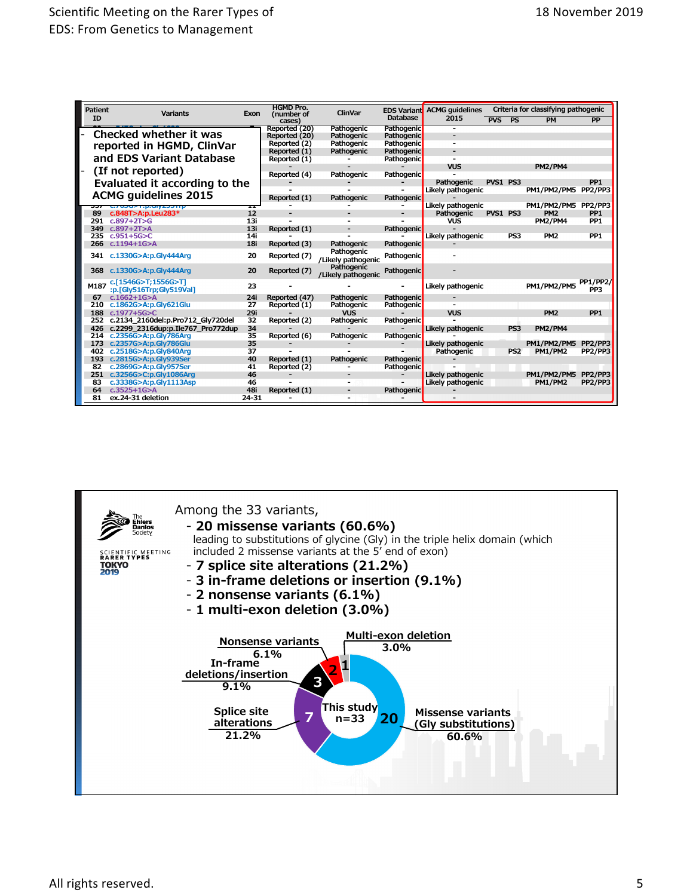| <b>Patient</b><br><b>Variants</b><br>Exon |                                                 | <b>HGMD Pro.</b><br>(number of | <b>ClinVar</b> | <b>EDS Variant</b>               | <b>ACMG</b> quidelines | Criteria for classifying pathogenic |            |                 |                               |                        |
|-------------------------------------------|-------------------------------------------------|--------------------------------|----------------|----------------------------------|------------------------|-------------------------------------|------------|-----------------|-------------------------------|------------------------|
| ID                                        |                                                 |                                | cases          |                                  | <b>Database</b>        | 2015                                | <b>PVS</b> | <b>PS</b>       | <b>PM</b>                     | PP                     |
|                                           |                                                 |                                | Reported (20)  | Pathogenic                       | Pathogenic             |                                     |            |                 |                               |                        |
|                                           | Checked whether it was                          |                                | Reported (20)  | Pathogenic                       | <b>Pathogenic</b>      |                                     |            |                 |                               |                        |
|                                           | reported in HGMD, ClinVar                       |                                | Reported (2)   | Pathogenic                       | Pathogenic             |                                     |            |                 |                               |                        |
|                                           |                                                 |                                | Reported (1)   | Pathogenic                       | Pathogenic             |                                     |            |                 |                               |                        |
|                                           | and EDS Variant Database                        |                                | Reported (1)   |                                  | Pathogenic             |                                     |            |                 |                               |                        |
| (If not reported)                         |                                                 |                                |                |                                  |                        | <b>VUS</b>                          |            |                 | <b>PM2/PM4</b>                |                        |
|                                           |                                                 |                                | Reported (4)   | Pathogenic                       | Pathogenic             |                                     |            |                 |                               | PP <sub>1</sub>        |
|                                           | Evaluated it according to the                   |                                |                |                                  |                        | Pathogenic<br>Likely pathogenic     | PVS1 PS3   |                 | PM1/PM2/PM5 PP2/PP3           |                        |
| <b>ACMG guidelines 2015</b>               |                                                 |                                | Reported (1)   | Pathogenic                       | Pathogenic             |                                     |            |                 |                               |                        |
|                                           |                                                 | ≖                              |                |                                  |                        | Likely pathogenic                   |            |                 | PM1/PM2/PM5 PP2/PP3           |                        |
| 89                                        | G700021.p.ory20011p<br>c.848T>A:p.Leu283*       | 12                             |                |                                  |                        | Pathogenic                          | PVS1 PS3   |                 | PM <sub>2</sub>               | PP <sub>1</sub>        |
| 291                                       | $c.897+2T>G$                                    | 13i                            |                |                                  |                        | <b>VUS</b>                          |            |                 | <b>PM2/PM4</b>                | PP <sub>1</sub>        |
| 349                                       | $c.897+2T > A$                                  | 13i                            | Reported (1)   |                                  | <b>Pathogenic</b>      |                                     |            |                 |                               |                        |
| 235                                       | $c.951 + 5G > C$                                | 14i                            |                |                                  |                        | Likely pathogenic                   |            | PS3             | PM <sub>2</sub>               | PP <sub>1</sub>        |
| 266                                       | $c.1194 + 1G > A$                               | 18i                            | Reported (3)   | Pathogenic                       | Pathogenic             |                                     |            |                 |                               |                        |
| 341                                       | c.1330G>A:p.Gly444Arg                           | 20                             | Reported (7)   | Pathogenic<br>/Likely pathogenic | Pathogenic             |                                     |            |                 |                               |                        |
| 368                                       | c.1330G>A:p.Gly444Arg                           | 20                             | Reported (7)   | Pathogenic<br>/Likely pathogenic | <b>Pathogenic</b>      |                                     |            |                 |                               |                        |
| M187                                      | c.[1546G>T;1556G>T]<br>:p.[Gly516Trp;Gly519Val] | 23                             |                |                                  |                        | Likely pathogenic                   |            |                 | PM1/PM2/PM5                   | <b>PP1/PP2/</b><br>PP3 |
| 67                                        | $c.1662+1G > A$                                 | 24i                            | Reported (47)  | Pathogenic                       | <b>Pathogenic</b>      |                                     |            |                 |                               |                        |
| 210                                       | c.1862G>A:p.Gly621Glu                           | 27                             | Reported (1)   | Pathogenic                       | Pathogenic             |                                     |            |                 |                               |                        |
| 188                                       | $c.1977 + 5G > C$                               | 29i                            |                | <b>VUS</b>                       |                        | <b>VUS</b>                          |            |                 | PM <sub>2</sub>               | PP <sub>1</sub>        |
| 252                                       | c.2134 2160del:p.Pro712 Gly720del               | 32                             | Reported (2)   | Pathogenic                       | Pathogenic             |                                     |            |                 |                               |                        |
| 426                                       | c.2299 2316dup:p.Ile767 Pro772dup               | 34                             |                |                                  |                        | Likely pathogenic                   |            | PS <sub>3</sub> | <b>PM2/PM4</b>                |                        |
| 214                                       | c.2356G>A:p.Gly786Arg                           | 35                             | Reported (6)   | Pathogenic                       | Pathogenic             |                                     |            |                 |                               |                        |
| 173<br>402                                | c.2357G>A:p.Gly786Glu<br>c.2518G>A:p.Gly840Arq  | 35<br>37                       |                |                                  |                        | Likely pathogenic                   |            | PS <sub>2</sub> | PM1/PM2/PM5<br><b>PM1/PM2</b> | PP2/PP3<br>PP2/PP3     |
| 193                                       | c.2815G>A:p.Gly939Ser                           | 40                             | Reported (1)   | Pathogenic                       | <b>Pathogenic</b>      | Pathogenic                          |            |                 |                               |                        |
| 82                                        | c.2869G>A:p.Glv957Ser                           | 41                             | Reported (2)   |                                  | <b>Pathogenic</b>      |                                     |            |                 |                               |                        |
| 251                                       | c.3256G>C:p.Gly1086Arg                          | 46                             |                |                                  |                        | Likely pathogenic                   |            |                 | PM1/PM2/PM5                   | PP2/PP3                |
| 83                                        | c.3338G>A:p.Gly1113Asp                          | 46                             |                |                                  |                        | Likely pathogenic                   |            |                 | <b>PM1/PM2</b>                | PP2/PP3                |
| 64                                        | $c.3525 + 1G > A$                               | 48i                            | Reported (1)   |                                  | <b>Pathogenic</b>      |                                     |            |                 |                               |                        |
| 81                                        | ex.24-31 deletion                               | $24 - 31$                      |                |                                  |                        |                                     |            |                 |                               |                        |
|                                           |                                                 |                                |                |                                  |                        |                                     |            |                 |                               |                        |

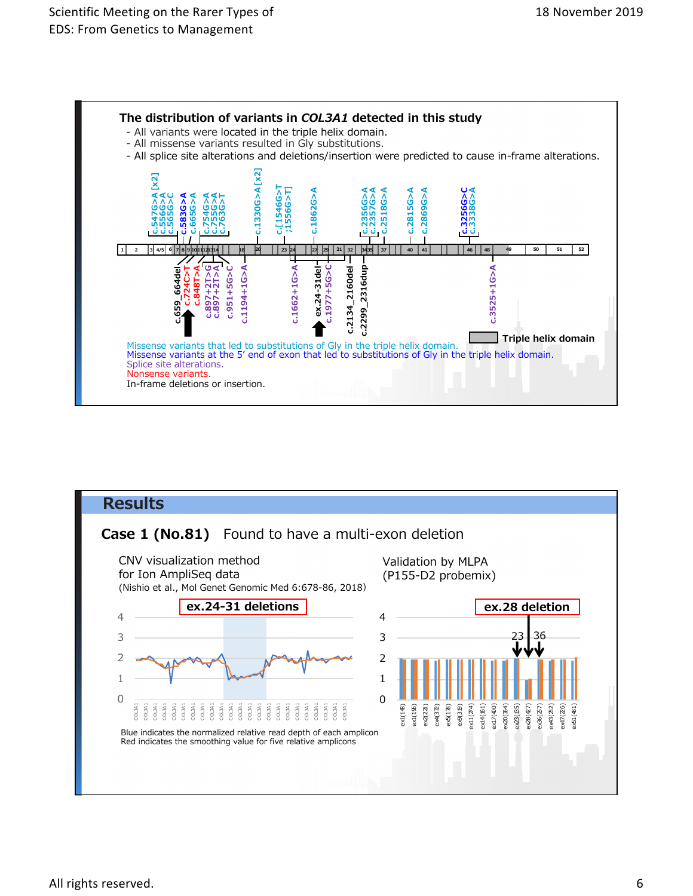![](_page_5_Figure_2.jpeg)

![](_page_5_Figure_3.jpeg)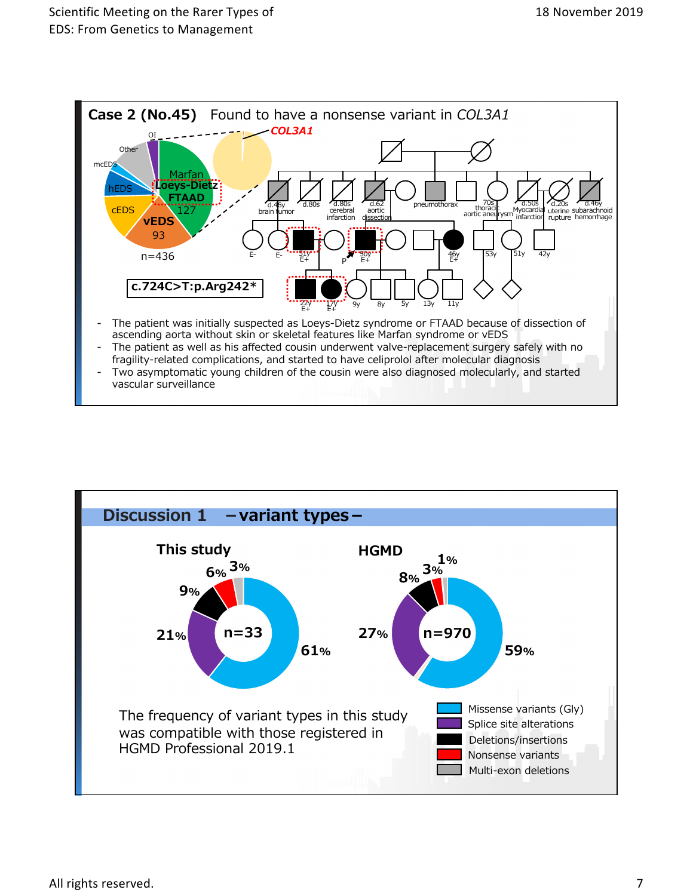![](_page_6_Figure_2.jpeg)

![](_page_6_Figure_3.jpeg)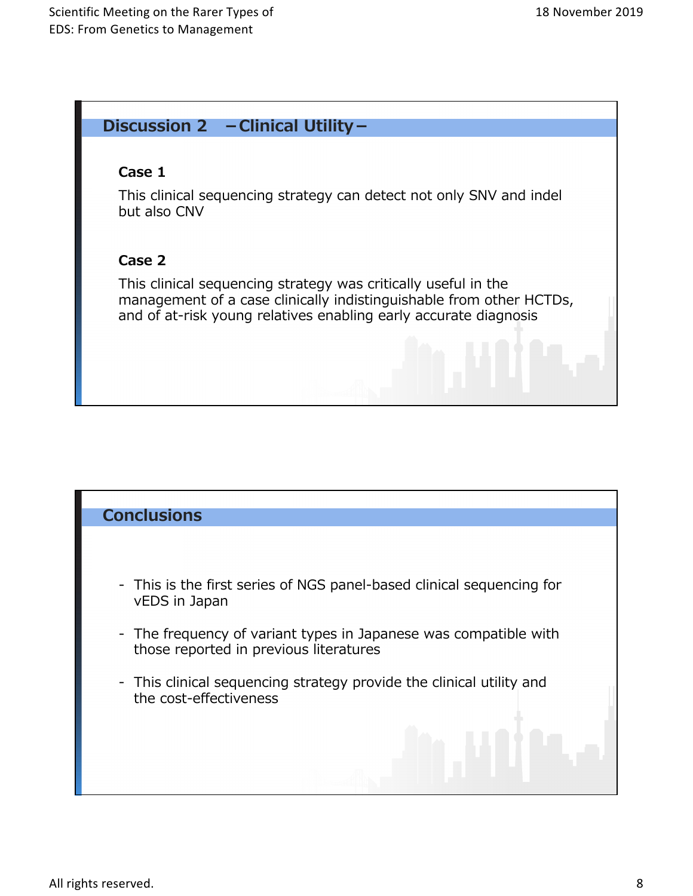## Discussion 2 – Clinical Utility –

## **Case 1**

This clinical sequencing strategy can detect not only SNV and indel but also CNV

## Case 2

This clinical sequencing strategy was critically useful in the management of a case clinically indistinguishable from other HCTDs, and of at-risk young relatives enabling early accurate diagnosis

## **Conclusions**

- This is the first series of NGS panel-based clinical sequencing for vEDS in Japan
- The frequency of variant types in Japanese was compatible with those reported in previous literatures
- This clinical sequencing strategy provide the clinical utility and the cost-effectiveness